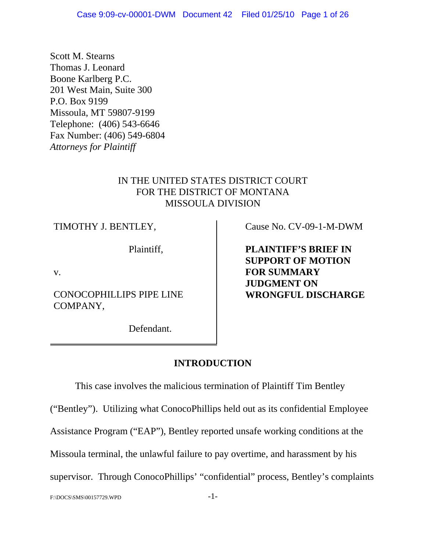Scott M. Stearns Thomas J. Leonard Boone Karlberg P.C. 201 West Main, Suite 300 P.O. Box 9199 Missoula, MT 59807-9199 Telephone: (406) 543-6646 Fax Number: (406) 549-6804 *Attorneys for Plaintiff*

## IN THE UNITED STATES DISTRICT COURT FOR THE DISTRICT OF MONTANA MISSOULA DIVISION

TIMOTHY J. BENTLEY,

Plaintiff,

v.

CONOCOPHILLIPS PIPE LINE COMPANY,

Cause No. CV-09-1-M-DWM

**PLAINTIFF'S BRIEF IN SUPPORT OF MOTION FOR SUMMARY JUDGMENT ON WRONGFUL DISCHARGE**

Defendant.

# **INTRODUCTION**

This case involves the malicious termination of Plaintiff Tim Bentley ("Bentley"). Utilizing what ConocoPhillips held out as its confidential Employee Assistance Program ("EAP"), Bentley reported unsafe working conditions at the Missoula terminal, the unlawful failure to pay overtime, and harassment by his supervisor. Through ConocoPhillips' "confidential" process, Bentley's complaints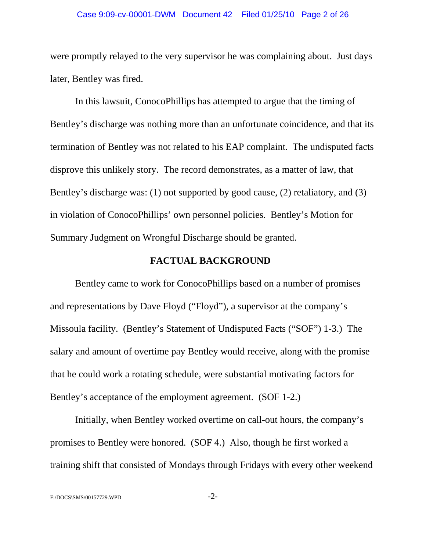#### Case 9:09-cv-00001-DWM Document 42 Filed 01/25/10 Page 2 of 26

were promptly relayed to the very supervisor he was complaining about. Just days later, Bentley was fired.

In this lawsuit, ConocoPhillips has attempted to argue that the timing of Bentley's discharge was nothing more than an unfortunate coincidence, and that its termination of Bentley was not related to his EAP complaint. The undisputed facts disprove this unlikely story. The record demonstrates, as a matter of law, that Bentley's discharge was: (1) not supported by good cause, (2) retaliatory, and (3) in violation of ConocoPhillips' own personnel policies. Bentley's Motion for Summary Judgment on Wrongful Discharge should be granted.

#### **FACTUAL BACKGROUND**

Bentley came to work for ConocoPhillips based on a number of promises and representations by Dave Floyd ("Floyd"), a supervisor at the company's Missoula facility. (Bentley's Statement of Undisputed Facts ("SOF") 1-3.) The salary and amount of overtime pay Bentley would receive, along with the promise that he could work a rotating schedule, were substantial motivating factors for Bentley's acceptance of the employment agreement. (SOF 1-2.)

Initially, when Bentley worked overtime on call-out hours, the company's promises to Bentley were honored. (SOF 4.) Also, though he first worked a training shift that consisted of Mondays through Fridays with every other weekend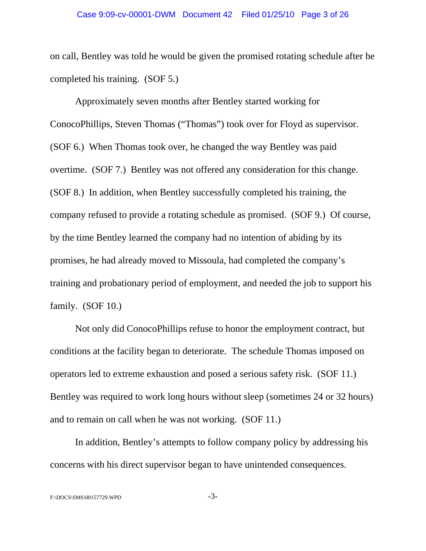on call, Bentley was told he would be given the promised rotating schedule after he completed his training. (SOF 5.)

Approximately seven months after Bentley started working for ConocoPhillips, Steven Thomas ("Thomas") took over for Floyd as supervisor. (SOF 6.) When Thomas took over, he changed the way Bentley was paid overtime. (SOF 7.) Bentley was not offered any consideration for this change. (SOF 8.) In addition, when Bentley successfully completed his training, the company refused to provide a rotating schedule as promised. (SOF 9.) Of course, by the time Bentley learned the company had no intention of abiding by its promises, he had already moved to Missoula, had completed the company's training and probationary period of employment, and needed the job to support his family. (SOF 10.)

Not only did ConocoPhillips refuse to honor the employment contract, but conditions at the facility began to deteriorate. The schedule Thomas imposed on operators led to extreme exhaustion and posed a serious safety risk. (SOF 11.) Bentley was required to work long hours without sleep (sometimes 24 or 32 hours) and to remain on call when he was not working. (SOF 11.)

In addition, Bentley's attempts to follow company policy by addressing his concerns with his direct supervisor began to have unintended consequences.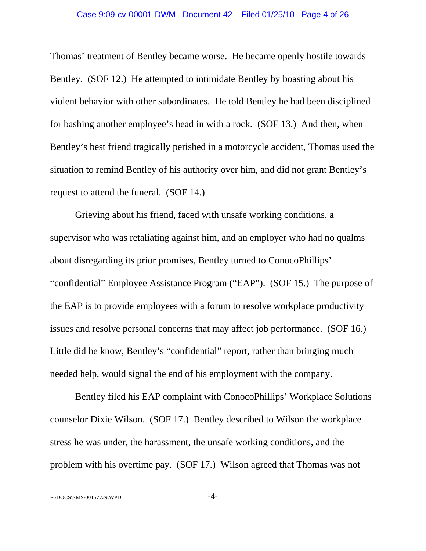Thomas' treatment of Bentley became worse. He became openly hostile towards Bentley. (SOF 12.) He attempted to intimidate Bentley by boasting about his violent behavior with other subordinates. He told Bentley he had been disciplined for bashing another employee's head in with a rock. (SOF 13.) And then, when Bentley's best friend tragically perished in a motorcycle accident, Thomas used the situation to remind Bentley of his authority over him, and did not grant Bentley's request to attend the funeral. (SOF 14.)

Grieving about his friend, faced with unsafe working conditions, a supervisor who was retaliating against him, and an employer who had no qualms about disregarding its prior promises, Bentley turned to ConocoPhillips' "confidential" Employee Assistance Program ("EAP"). (SOF 15.) The purpose of the EAP is to provide employees with a forum to resolve workplace productivity issues and resolve personal concerns that may affect job performance. (SOF 16.) Little did he know, Bentley's "confidential" report, rather than bringing much needed help, would signal the end of his employment with the company.

Bentley filed his EAP complaint with ConocoPhillips' Workplace Solutions counselor Dixie Wilson. (SOF 17.) Bentley described to Wilson the workplace stress he was under, the harassment, the unsafe working conditions, and the problem with his overtime pay. (SOF 17.) Wilson agreed that Thomas was not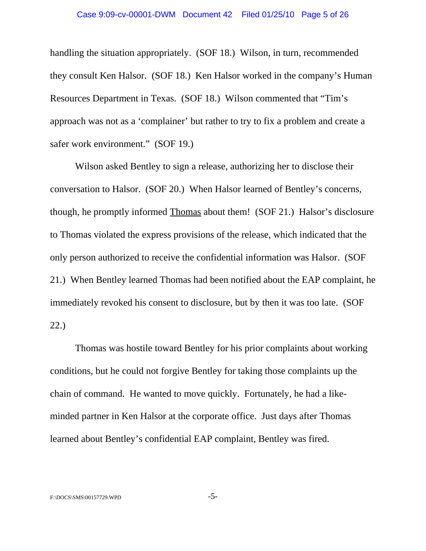handling the situation appropriately. (SOF 18.) Wilson, in turn, recommended they consult Ken Halsor. (SOF 18.) Ken Halsor worked in the company's Human Resources Department in Texas. (SOF 18.) Wilson commented that "Tim's approach was not as a 'complainer' but rather to try to fix a problem and create a safer work environment." (SOF 19.)

Wilson asked Bentley to sign a release, authorizing her to disclose their conversation to Halsor. (SOF 20.) When Halsor learned of Bentley's concerns, though, he promptly informed Thomas about them! (SOF 21.) Halsor's disclosure to Thomas violated the express provisions of the release, which indicated that the only person authorized to receive the confidential information was Halsor. (SOF 21.) When Bentley learned Thomas had been notified about the EAP complaint, he immediately revoked his consent to disclosure, but by then it was too late. (SOF 22.)

Thomas was hostile toward Bentley for his prior complaints about working conditions, but he could not forgive Bentley for taking those complaints up the chain of command. He wanted to move quickly. Fortunately, he had a likeminded partner in Ken Halsor at the corporate office. Just days after Thomas learned about Bentley's confidential EAP complaint, Bentley was fired.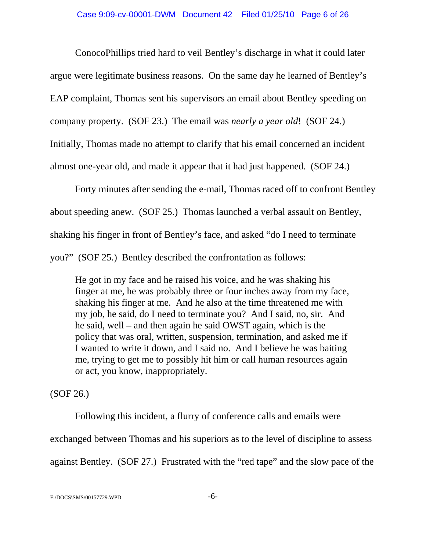ConocoPhillips tried hard to veil Bentley's discharge in what it could later argue were legitimate business reasons. On the same day he learned of Bentley's EAP complaint, Thomas sent his supervisors an email about Bentley speeding on company property. (SOF 23.) The email was *nearly a year old*! (SOF 24.) Initially, Thomas made no attempt to clarify that his email concerned an incident almost one-year old, and made it appear that it had just happened. (SOF 24.)

Forty minutes after sending the e-mail, Thomas raced off to confront Bentley about speeding anew. (SOF 25.) Thomas launched a verbal assault on Bentley, shaking his finger in front of Bentley's face, and asked "do I need to terminate you?" (SOF 25.) Bentley described the confrontation as follows:

He got in my face and he raised his voice, and he was shaking his finger at me, he was probably three or four inches away from my face, shaking his finger at me. And he also at the time threatened me with my job, he said, do I need to terminate you? And I said, no, sir. And he said, well – and then again he said OWST again, which is the policy that was oral, written, suspension, termination, and asked me if I wanted to write it down, and I said no. And I believe he was baiting me, trying to get me to possibly hit him or call human resources again or act, you know, inappropriately.

(SOF 26.)

Following this incident, a flurry of conference calls and emails were exchanged between Thomas and his superiors as to the level of discipline to assess against Bentley. (SOF 27.) Frustrated with the "red tape" and the slow pace of the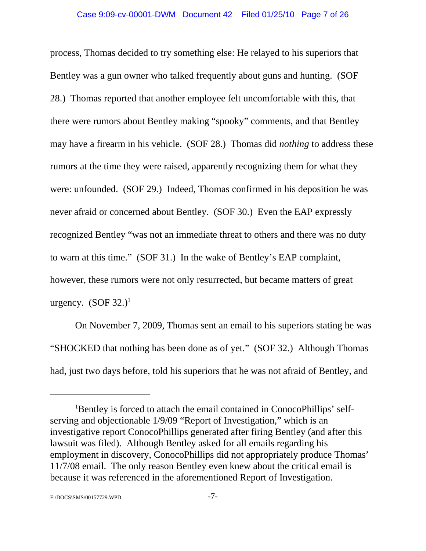process, Thomas decided to try something else: He relayed to his superiors that Bentley was a gun owner who talked frequently about guns and hunting. (SOF 28.) Thomas reported that another employee felt uncomfortable with this, that there were rumors about Bentley making "spooky" comments, and that Bentley may have a firearm in his vehicle. (SOF 28.) Thomas did *nothing* to address these rumors at the time they were raised, apparently recognizing them for what they were: unfounded. (SOF 29.) Indeed, Thomas confirmed in his deposition he was never afraid or concerned about Bentley. (SOF 30.) Even the EAP expressly recognized Bentley "was not an immediate threat to others and there was no duty to warn at this time." (SOF 31.) In the wake of Bentley's EAP complaint, however, these rumors were not only resurrected, but became matters of great urgency.  $(SOF 32.)^1$ 

On November 7, 2009, Thomas sent an email to his superiors stating he was "SHOCKED that nothing has been done as of yet." (SOF 32.) Although Thomas had, just two days before, told his superiors that he was not afraid of Bentley, and

<sup>&</sup>lt;sup>1</sup>Bentley is forced to attach the email contained in ConocoPhillips' selfserving and objectionable 1/9/09 "Report of Investigation," which is an investigative report ConocoPhillips generated after firing Bentley (and after this lawsuit was filed). Although Bentley asked for all emails regarding his employment in discovery, ConocoPhillips did not appropriately produce Thomas' 11/7/08 email. The only reason Bentley even knew about the critical email is because it was referenced in the aforementioned Report of Investigation.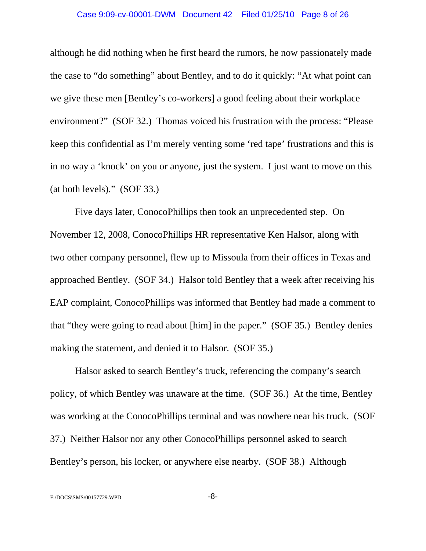#### Case 9:09-cv-00001-DWM Document 42 Filed 01/25/10 Page 8 of 26

although he did nothing when he first heard the rumors, he now passionately made the case to "do something" about Bentley, and to do it quickly: "At what point can we give these men [Bentley's co-workers] a good feeling about their workplace environment?" (SOF 32.) Thomas voiced his frustration with the process: "Please keep this confidential as I'm merely venting some 'red tape' frustrations and this is in no way a 'knock' on you or anyone, just the system. I just want to move on this (at both levels)." (SOF 33.)

Five days later, ConocoPhillips then took an unprecedented step. On November 12, 2008, ConocoPhillips HR representative Ken Halsor, along with two other company personnel, flew up to Missoula from their offices in Texas and approached Bentley. (SOF 34.) Halsor told Bentley that a week after receiving his EAP complaint, ConocoPhillips was informed that Bentley had made a comment to that "they were going to read about [him] in the paper." (SOF 35.) Bentley denies making the statement, and denied it to Halsor. (SOF 35.)

Halsor asked to search Bentley's truck, referencing the company's search policy, of which Bentley was unaware at the time. (SOF 36.) At the time, Bentley was working at the ConocoPhillips terminal and was nowhere near his truck. (SOF 37.) Neither Halsor nor any other ConocoPhillips personnel asked to search Bentley's person, his locker, or anywhere else nearby. (SOF 38.) Although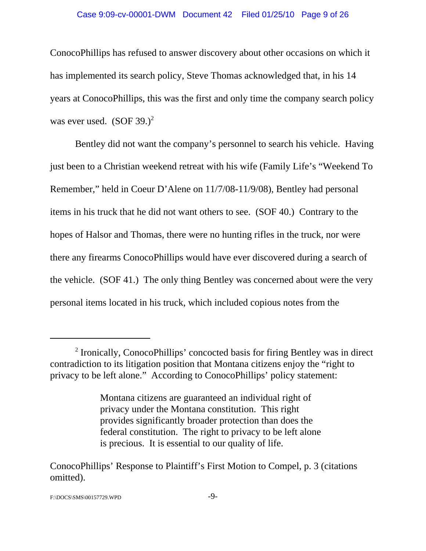#### Case 9:09-cv-00001-DWM Document 42 Filed 01/25/10 Page 9 of 26

ConocoPhillips has refused to answer discovery about other occasions on which it has implemented its search policy, Steve Thomas acknowledged that, in his 14 years at ConocoPhillips, this was the first and only time the company search policy was ever used.  $(SOF 39.)^2$ 

Bentley did not want the company's personnel to search his vehicle. Having just been to a Christian weekend retreat with his wife (Family Life's "Weekend To Remember," held in Coeur D'Alene on 11/7/08-11/9/08), Bentley had personal items in his truck that he did not want others to see. (SOF 40.) Contrary to the hopes of Halsor and Thomas, there were no hunting rifles in the truck, nor were there any firearms ConocoPhillips would have ever discovered during a search of the vehicle. (SOF 41.) The only thing Bentley was concerned about were the very personal items located in his truck, which included copious notes from the

<sup>&</sup>lt;sup>2</sup> Ironically, ConocoPhillips' concocted basis for firing Bentley was in direct contradiction to its litigation position that Montana citizens enjoy the "right to privacy to be left alone." According to ConocoPhillips' policy statement:

Montana citizens are guaranteed an individual right of privacy under the Montana constitution. This right provides significantly broader protection than does the federal constitution. The right to privacy to be left alone is precious. It is essential to our quality of life.

ConocoPhillips' Response to Plaintiff's First Motion to Compel, p. 3 (citations omitted).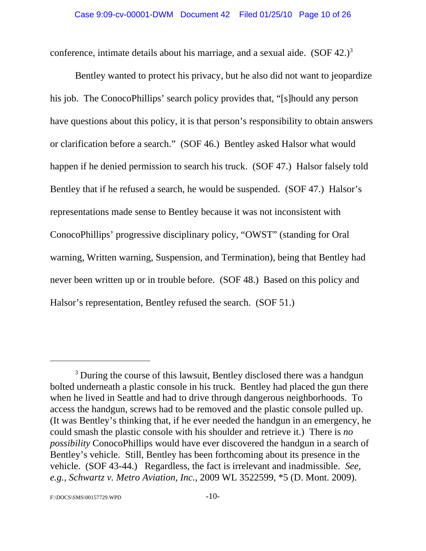conference, intimate details about his marriage, and a sexual aide.  $(SOF 42.)^3$ 

Bentley wanted to protect his privacy, but he also did not want to jeopardize his job. The ConocoPhillips' search policy provides that, "[s]hould any person have questions about this policy, it is that person's responsibility to obtain answers or clarification before a search." (SOF 46.) Bentley asked Halsor what would happen if he denied permission to search his truck. (SOF 47.) Halsor falsely told Bentley that if he refused a search, he would be suspended. (SOF 47.) Halsor's representations made sense to Bentley because it was not inconsistent with ConocoPhillips' progressive disciplinary policy, "OWST" (standing for Oral warning, Written warning, Suspension, and Termination), being that Bentley had never been written up or in trouble before. (SOF 48.) Based on this policy and Halsor's representation, Bentley refused the search. (SOF 51.)

<sup>&</sup>lt;sup>3</sup> During the course of this lawsuit, Bentley disclosed there was a handgun bolted underneath a plastic console in his truck. Bentley had placed the gun there when he lived in Seattle and had to drive through dangerous neighborhoods. To access the handgun, screws had to be removed and the plastic console pulled up. (It was Bentley's thinking that, if he ever needed the handgun in an emergency, he could smash the plastic console with his shoulder and retrieve it.) There is *no possibility* ConocoPhillips would have ever discovered the handgun in a search of Bentley's vehicle. Still, Bentley has been forthcoming about its presence in the vehicle. (SOF 43-44.) Regardless, the fact is irrelevant and inadmissible. *See, e.g., Schwartz v. Metro Aviation, Inc.*, 2009 WL 3522599, \*5 (D. Mont. 2009).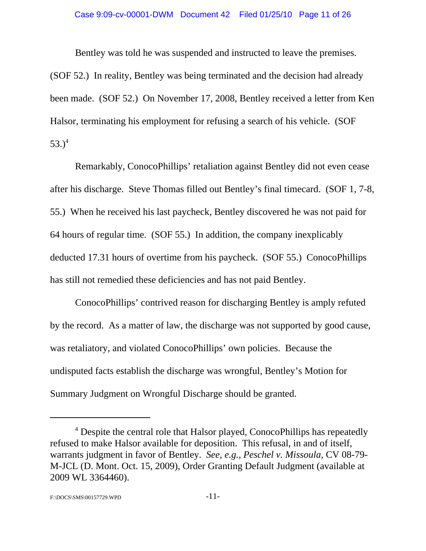Bentley was told he was suspended and instructed to leave the premises. (SOF 52.) In reality, Bentley was being terminated and the decision had already been made. (SOF 52.) On November 17, 2008, Bentley received a letter from Ken Halsor, terminating his employment for refusing a search of his vehicle. (SOF 53. $)^4$ 

Remarkably, ConocoPhillips' retaliation against Bentley did not even cease after his discharge. Steve Thomas filled out Bentley's final timecard. (SOF 1, 7-8, 55.) When he received his last paycheck, Bentley discovered he was not paid for 64 hours of regular time. (SOF 55.) In addition, the company inexplicably deducted 17.31 hours of overtime from his paycheck. (SOF 55.) ConocoPhillips has still not remedied these deficiencies and has not paid Bentley.

ConocoPhillips' contrived reason for discharging Bentley is amply refuted by the record. As a matter of law, the discharge was not supported by good cause, was retaliatory, and violated ConocoPhillips' own policies. Because the undisputed facts establish the discharge was wrongful, Bentley's Motion for Summary Judgment on Wrongful Discharge should be granted.

<sup>&</sup>lt;sup>4</sup> Despite the central role that Halsor played, ConocoPhillips has repeatedly refused to make Halsor available for deposition. This refusal, in and of itself, warrants judgment in favor of Bentley. *See, e.g., Peschel v. Missoula*, CV 08-79- M-JCL (D. Mont. Oct. 15, 2009), Order Granting Default Judgment (available at 2009 WL 3364460).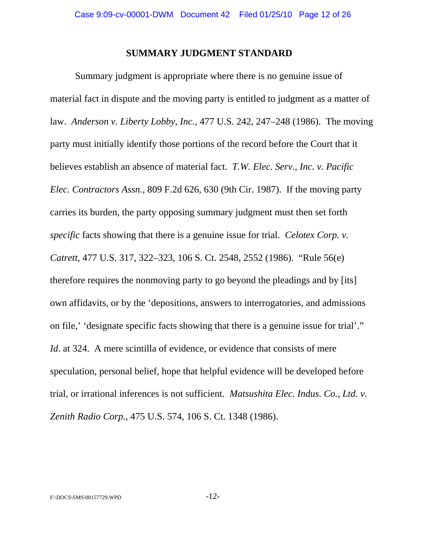#### **SUMMARY JUDGMENT STANDARD**

Summary judgment is appropriate where there is no genuine issue of material fact in dispute and the moving party is entitled to judgment as a matter of law. *Anderson v. Liberty Lobby, Inc.*, 477 U.S. 242, 247–248 (1986). The moving party must initially identify those portions of the record before the Court that it believes establish an absence of material fact. *T.W. Elec. Serv., Inc. v. Pacific Elec. Contractors Assn.,* 809 F.2d 626, 630 (9th Cir. 1987). If the moving party carries its burden, the party opposing summary judgment must then set forth *specific* facts showing that there is a genuine issue for trial. *Celotex Corp. v. Catrett*, 477 U.S. 317, 322–323, 106 S. Ct. 2548, 2552 (1986). "Rule 56(e) therefore requires the nonmoving party to go beyond the pleadings and by [its] own affidavits, or by the 'depositions, answers to interrogatories, and admissions on file,' 'designate specific facts showing that there is a genuine issue for trial'." *Id.* at 324. A mere scintilla of evidence, or evidence that consists of mere speculation, personal belief, hope that helpful evidence will be developed before trial, or irrational inferences is not sufficient. *Matsushita Elec. Indus. Co., Ltd. v. Zenith Radio Corp.*, 475 U.S. 574, 106 S. Ct. 1348 (1986).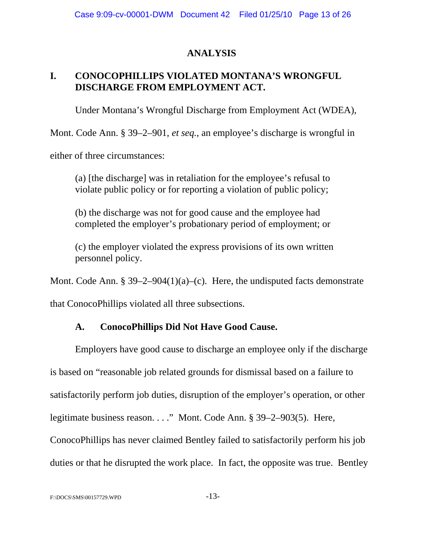# **ANALYSIS**

# **I. CONOCOPHILLIPS VIOLATED MONTANA'S WRONGFUL DISCHARGE FROM EMPLOYMENT ACT.**

Under Montana's Wrongful Discharge from Employment Act (WDEA),

Mont. Code Ann. § 39–2–901, *et seq.*, an employee's discharge is wrongful in

either of three circumstances:

(a) [the discharge] was in retaliation for the employee's refusal to violate public policy or for reporting a violation of public policy;

(b) the discharge was not for good cause and the employee had completed the employer's probationary period of employment; or

(c) the employer violated the express provisions of its own written personnel policy.

Mont. Code Ann. § 39–2–904(1)(a)–(c). Here, the undisputed facts demonstrate

that ConocoPhillips violated all three subsections.

# **A. ConocoPhillips Did Not Have Good Cause.**

Employers have good cause to discharge an employee only if the discharge is based on "reasonable job related grounds for dismissal based on a failure to satisfactorily perform job duties, disruption of the employer's operation, or other legitimate business reason. . . ." Mont. Code Ann. § 39–2–903(5). Here, ConocoPhillips has never claimed Bentley failed to satisfactorily perform his job duties or that he disrupted the work place. In fact, the opposite was true. Bentley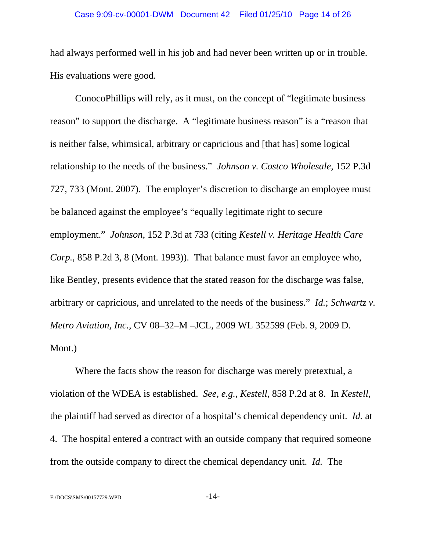#### Case 9:09-cv-00001-DWM Document 42 Filed 01/25/10 Page 14 of 26

had always performed well in his job and had never been written up or in trouble. His evaluations were good.

ConocoPhillips will rely, as it must, on the concept of "legitimate business reason" to support the discharge. A "legitimate business reason" is a "reason that is neither false, whimsical, arbitrary or capricious and [that has] some logical relationship to the needs of the business." *Johnson v. Costco Wholesale*, 152 P.3d 727, 733 (Mont. 2007). The employer's discretion to discharge an employee must be balanced against the employee's "equally legitimate right to secure employment." *Johnson*, 152 P.3d at 733 (citing *Kestell v. Heritage Health Care Corp.*, 858 P.2d 3, 8 (Mont. 1993)). That balance must favor an employee who, like Bentley, presents evidence that the stated reason for the discharge was false, arbitrary or capricious, and unrelated to the needs of the business." *Id.*; *Schwartz v. Metro Aviation, Inc.*, CV 08–32–M –JCL, 2009 WL 352599 (Feb. 9, 2009 D. Mont.)

Where the facts show the reason for discharge was merely pretextual, a violation of the WDEA is established. *See, e.g., Kestell*, 858 P.2d at 8. In *Kestell*, the plaintiff had served as director of a hospital's chemical dependency unit. *Id.* at 4. The hospital entered a contract with an outside company that required someone from the outside company to direct the chemical dependancy unit. *Id.* The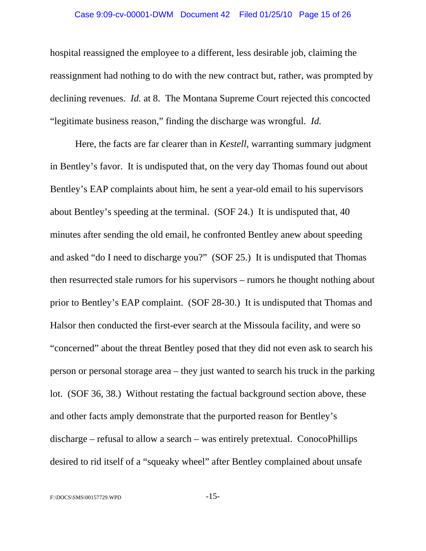#### Case 9:09-cv-00001-DWM Document 42 Filed 01/25/10 Page 15 of 26

hospital reassigned the employee to a different, less desirable job, claiming the reassignment had nothing to do with the new contract but, rather, was prompted by declining revenues. *Id.* at 8. The Montana Supreme Court rejected this concocted "legitimate business reason," finding the discharge was wrongful. *Id.*

Here, the facts are far clearer than in *Kestell*, warranting summary judgment in Bentley's favor. It is undisputed that, on the very day Thomas found out about Bentley's EAP complaints about him, he sent a year-old email to his supervisors about Bentley's speeding at the terminal. (SOF 24.) It is undisputed that, 40 minutes after sending the old email, he confronted Bentley anew about speeding and asked "do I need to discharge you?" (SOF 25.) It is undisputed that Thomas then resurrected stale rumors for his supervisors – rumors he thought nothing about prior to Bentley's EAP complaint. (SOF 28-30.) It is undisputed that Thomas and Halsor then conducted the first-ever search at the Missoula facility, and were so "concerned" about the threat Bentley posed that they did not even ask to search his person or personal storage area – they just wanted to search his truck in the parking lot. (SOF 36, 38.) Without restating the factual background section above, these and other facts amply demonstrate that the purported reason for Bentley's discharge – refusal to allow a search – was entirely pretextual. ConocoPhillips desired to rid itself of a "squeaky wheel" after Bentley complained about unsafe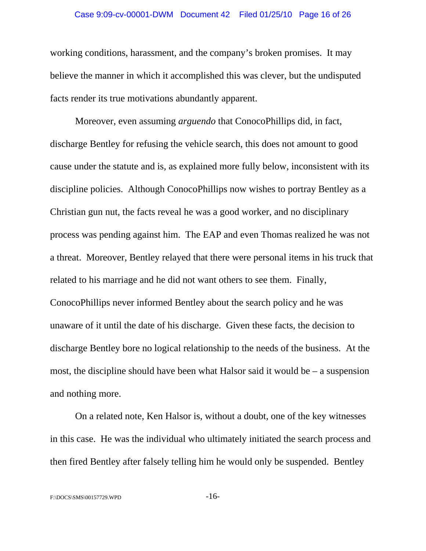working conditions, harassment, and the company's broken promises. It may believe the manner in which it accomplished this was clever, but the undisputed facts render its true motivations abundantly apparent.

Moreover, even assuming *arguendo* that ConocoPhillips did, in fact, discharge Bentley for refusing the vehicle search, this does not amount to good cause under the statute and is, as explained more fully below, inconsistent with its discipline policies. Although ConocoPhillips now wishes to portray Bentley as a Christian gun nut, the facts reveal he was a good worker, and no disciplinary process was pending against him. The EAP and even Thomas realized he was not a threat. Moreover, Bentley relayed that there were personal items in his truck that related to his marriage and he did not want others to see them. Finally, ConocoPhillips never informed Bentley about the search policy and he was unaware of it until the date of his discharge. Given these facts, the decision to discharge Bentley bore no logical relationship to the needs of the business. At the most, the discipline should have been what Halsor said it would be – a suspension and nothing more.

On a related note, Ken Halsor is, without a doubt, one of the key witnesses in this case. He was the individual who ultimately initiated the search process and then fired Bentley after falsely telling him he would only be suspended. Bentley

F:\DOCS\SMS\00157729.WPD -16-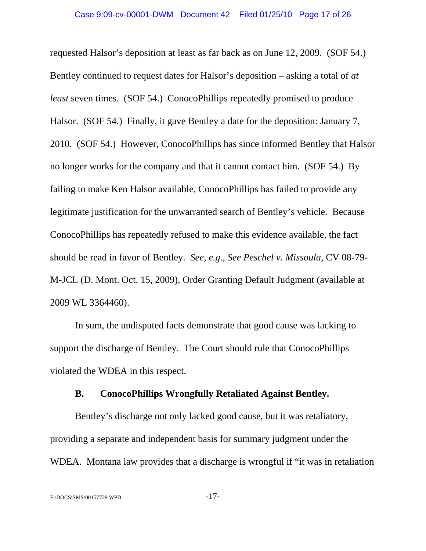requested Halsor's deposition at least as far back as on June 12, 2009. (SOF 54.) Bentley continued to request dates for Halsor's deposition – asking a total of *at least* seven times. (SOF 54.) ConocoPhillips repeatedly promised to produce Halsor. (SOF 54.) Finally, it gave Bentley a date for the deposition: January 7, 2010. (SOF 54.) However, ConocoPhillips has since informed Bentley that Halsor no longer works for the company and that it cannot contact him. (SOF 54.) By failing to make Ken Halsor available, ConocoPhillips has failed to provide any legitimate justification for the unwarranted search of Bentley's vehicle. Because ConocoPhillips has repeatedly refused to make this evidence available, the fact should be read in favor of Bentley. *See, e.g., See Peschel v. Missoula*, CV 08-79- M-JCL (D. Mont. Oct. 15, 2009), Order Granting Default Judgment (available at 2009 WL 3364460).

In sum, the undisputed facts demonstrate that good cause was lacking to support the discharge of Bentley. The Court should rule that ConocoPhillips violated the WDEA in this respect.

### **B. ConocoPhillips Wrongfully Retaliated Against Bentley.**

Bentley's discharge not only lacked good cause, but it was retaliatory, providing a separate and independent basis for summary judgment under the WDEA. Montana law provides that a discharge is wrongful if "it was in retaliation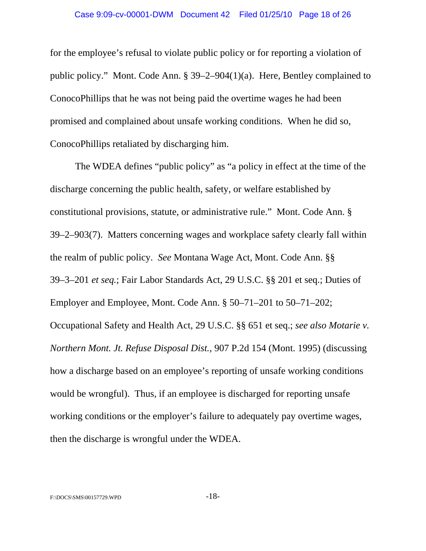for the employee's refusal to violate public policy or for reporting a violation of public policy." Mont. Code Ann. § 39–2–904(1)(a). Here, Bentley complained to ConocoPhillips that he was not being paid the overtime wages he had been promised and complained about unsafe working conditions. When he did so, ConocoPhillips retaliated by discharging him.

The WDEA defines "public policy" as "a policy in effect at the time of the discharge concerning the public health, safety, or welfare established by constitutional provisions, statute, or administrative rule." Mont. Code Ann. § 39–2–903(7). Matters concerning wages and workplace safety clearly fall within the realm of public policy. *See* Montana Wage Act, Mont. Code Ann. §§ 39–3–201 *et seq.*; Fair Labor Standards Act, 29 U.S.C. §§ 201 et seq.; Duties of Employer and Employee, Mont. Code Ann. § 50–71–201 to 50–71–202; Occupational Safety and Health Act, 29 U.S.C. §§ 651 et seq.; *see also Motarie v. Northern Mont. Jt. Refuse Disposal Dist.*, 907 P.2d 154 (Mont. 1995) (discussing how a discharge based on an employee's reporting of unsafe working conditions would be wrongful). Thus, if an employee is discharged for reporting unsafe working conditions or the employer's failure to adequately pay overtime wages, then the discharge is wrongful under the WDEA.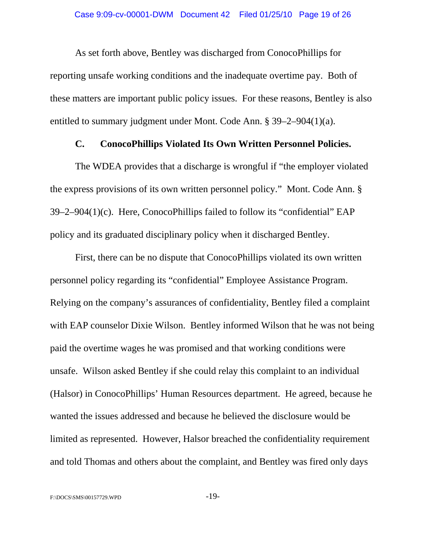As set forth above, Bentley was discharged from ConocoPhillips for reporting unsafe working conditions and the inadequate overtime pay. Both of these matters are important public policy issues. For these reasons, Bentley is also entitled to summary judgment under Mont. Code Ann. § 39–2–904(1)(a).

### **C. ConocoPhillips Violated Its Own Written Personnel Policies.**

The WDEA provides that a discharge is wrongful if "the employer violated the express provisions of its own written personnel policy." Mont. Code Ann. § 39–2–904(1)(c). Here, ConocoPhillips failed to follow its "confidential" EAP policy and its graduated disciplinary policy when it discharged Bentley.

First, there can be no dispute that ConocoPhillips violated its own written personnel policy regarding its "confidential" Employee Assistance Program. Relying on the company's assurances of confidentiality, Bentley filed a complaint with EAP counselor Dixie Wilson. Bentley informed Wilson that he was not being paid the overtime wages he was promised and that working conditions were unsafe. Wilson asked Bentley if she could relay this complaint to an individual (Halsor) in ConocoPhillips' Human Resources department. He agreed, because he wanted the issues addressed and because he believed the disclosure would be limited as represented. However, Halsor breached the confidentiality requirement and told Thomas and others about the complaint, and Bentley was fired only days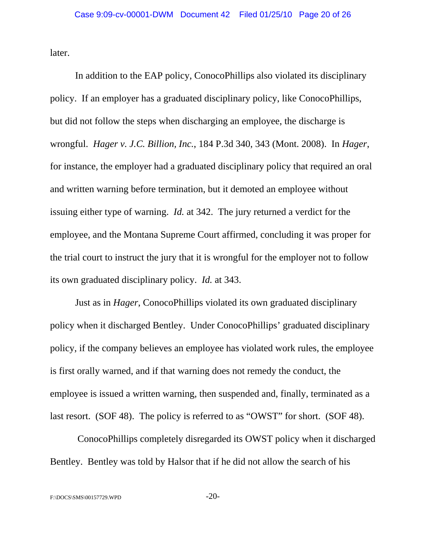later.

In addition to the EAP policy, ConocoPhillips also violated its disciplinary policy. If an employer has a graduated disciplinary policy, like ConocoPhillips, but did not follow the steps when discharging an employee, the discharge is wrongful. *Hager v. J.C. Billion, Inc.*, 184 P.3d 340, 343 (Mont. 2008). In *Hager*, for instance, the employer had a graduated disciplinary policy that required an oral and written warning before termination, but it demoted an employee without issuing either type of warning. *Id.* at 342. The jury returned a verdict for the employee, and the Montana Supreme Court affirmed, concluding it was proper for the trial court to instruct the jury that it is wrongful for the employer not to follow its own graduated disciplinary policy. *Id.* at 343.

Just as in *Hager*, ConocoPhillips violated its own graduated disciplinary policy when it discharged Bentley. Under ConocoPhillips' graduated disciplinary policy, if the company believes an employee has violated work rules, the employee is first orally warned, and if that warning does not remedy the conduct, the employee is issued a written warning, then suspended and, finally, terminated as a last resort. (SOF 48). The policy is referred to as "OWST" for short. (SOF 48).

 ConocoPhillips completely disregarded its OWST policy when it discharged Bentley. Bentley was told by Halsor that if he did not allow the search of his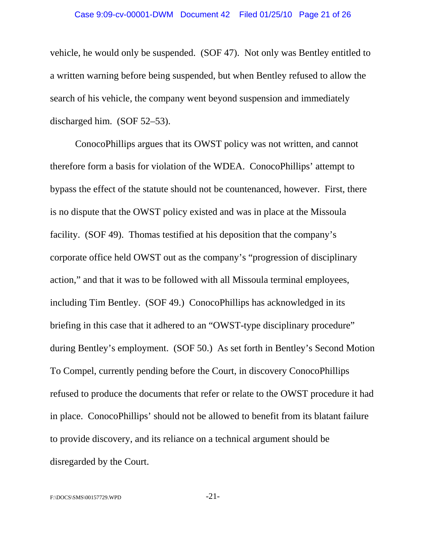vehicle, he would only be suspended. (SOF 47). Not only was Bentley entitled to a written warning before being suspended, but when Bentley refused to allow the search of his vehicle, the company went beyond suspension and immediately discharged him. (SOF 52–53).

ConocoPhillips argues that its OWST policy was not written, and cannot therefore form a basis for violation of the WDEA. ConocoPhillips' attempt to bypass the effect of the statute should not be countenanced, however. First, there is no dispute that the OWST policy existed and was in place at the Missoula facility. (SOF 49). Thomas testified at his deposition that the company's corporate office held OWST out as the company's "progression of disciplinary action," and that it was to be followed with all Missoula terminal employees, including Tim Bentley. (SOF 49.) ConocoPhillips has acknowledged in its briefing in this case that it adhered to an "OWST-type disciplinary procedure" during Bentley's employment. (SOF 50.) As set forth in Bentley's Second Motion To Compel, currently pending before the Court, in discovery ConocoPhillips refused to produce the documents that refer or relate to the OWST procedure it had in place. ConocoPhillips' should not be allowed to benefit from its blatant failure to provide discovery, and its reliance on a technical argument should be disregarded by the Court.

 $F:\angle DOCS\$ SMS\00157729.WPD -21-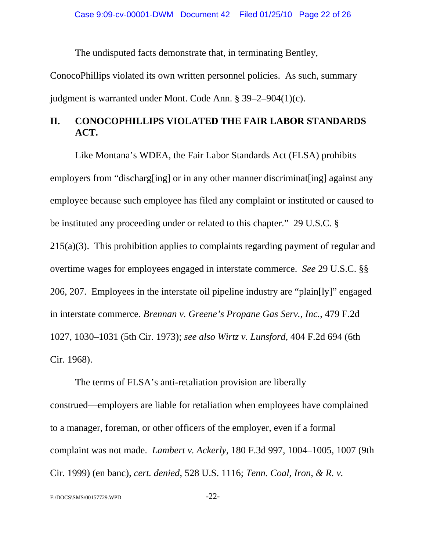The undisputed facts demonstrate that, in terminating Bentley,

ConocoPhillips violated its own written personnel policies. As such, summary judgment is warranted under Mont. Code Ann. § 39–2–904(1)(c).

# **II. CONOCOPHILLIPS VIOLATED THE FAIR LABOR STANDARDS ACT.**

Like Montana's WDEA, the Fair Labor Standards Act (FLSA) prohibits employers from "discharg[ing] or in any other manner discriminat[ing] against any employee because such employee has filed any complaint or instituted or caused to be instituted any proceeding under or related to this chapter." 29 U.S.C. § 215(a)(3). This prohibition applies to complaints regarding payment of regular and overtime wages for employees engaged in interstate commerce. *See* 29 U.S.C. §§ 206, 207. Employees in the interstate oil pipeline industry are "plain[ly]" engaged in interstate commerce. *Brennan v. Greene's Propane Gas Serv., Inc.*, 479 F.2d 1027, 1030–1031 (5th Cir. 1973); *see also Wirtz v. Lunsford*, 404 F.2d 694 (6th Cir. 1968).

The terms of FLSA's anti-retaliation provision are liberally construed—employers are liable for retaliation when employees have complained to a manager, foreman, or other officers of the employer, even if a formal complaint was not made. *Lambert v. Ackerly*, 180 F.3d 997, 1004–1005, 1007 (9th Cir. 1999) (en banc), *cert. denied*, 528 U.S. 1116; *Tenn. Coal, Iron, & R. v.*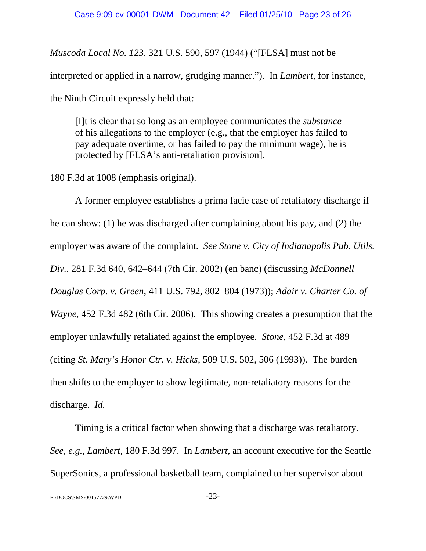*Muscoda Local No. 123*, 321 U.S. 590, 597 (1944) ("[FLSA] must not be interpreted or applied in a narrow, grudging manner."). In *Lambert*, for instance, the Ninth Circuit expressly held that:

[I]t is clear that so long as an employee communicates the *substance* of his allegations to the employer (e.g., that the employer has failed to pay adequate overtime, or has failed to pay the minimum wage), he is protected by [FLSA's anti-retaliation provision].

180 F.3d at 1008 (emphasis original).

A former employee establishes a prima facie case of retaliatory discharge if he can show: (1) he was discharged after complaining about his pay, and (2) the employer was aware of the complaint. *See Stone v. City of Indianapolis Pub. Utils. Div.*, 281 F.3d 640, 642–644 (7th Cir. 2002) (en banc) (discussing *McDonnell Douglas Corp. v. Green*, 411 U.S. 792, 802–804 (1973)); *Adair v. Charter Co. of Wayne*, 452 F.3d 482 (6th Cir. 2006). This showing creates a presumption that the employer unlawfully retaliated against the employee. *Stone*, 452 F.3d at 489 (citing *St. Mary's Honor Ctr. v. Hicks*, 509 U.S. 502, 506 (1993)). The burden then shifts to the employer to show legitimate, non-retaliatory reasons for the discharge. *Id.*

Timing is a critical factor when showing that a discharge was retaliatory. *See, e.g., Lambert*, 180 F.3d 997. In *Lambert*, an account executive for the Seattle SuperSonics, a professional basketball team, complained to her supervisor about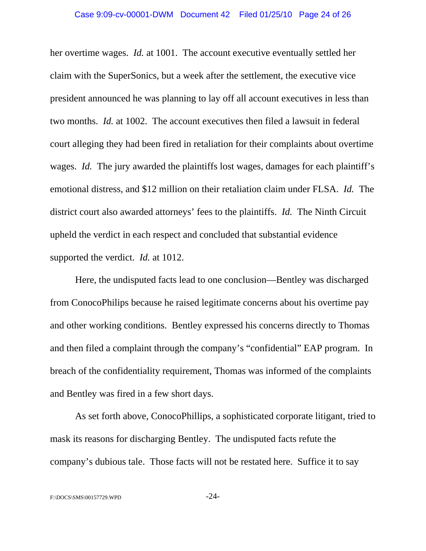her overtime wages. *Id.* at 1001. The account executive eventually settled her claim with the SuperSonics, but a week after the settlement, the executive vice president announced he was planning to lay off all account executives in less than two months. *Id.* at 1002. The account executives then filed a lawsuit in federal court alleging they had been fired in retaliation for their complaints about overtime wages. *Id.* The jury awarded the plaintiffs lost wages, damages for each plaintiff's emotional distress, and \$12 million on their retaliation claim under FLSA. *Id.* The district court also awarded attorneys' fees to the plaintiffs. *Id.* The Ninth Circuit upheld the verdict in each respect and concluded that substantial evidence supported the verdict. *Id.* at 1012.

Here, the undisputed facts lead to one conclusion—Bentley was discharged from ConocoPhilips because he raised legitimate concerns about his overtime pay and other working conditions. Bentley expressed his concerns directly to Thomas and then filed a complaint through the company's "confidential" EAP program. In breach of the confidentiality requirement, Thomas was informed of the complaints and Bentley was fired in a few short days.

As set forth above, ConocoPhillips, a sophisticated corporate litigant, tried to mask its reasons for discharging Bentley. The undisputed facts refute the company's dubious tale. Those facts will not be restated here. Suffice it to say

F:\DOCS\SMS\00157729.WPD -24-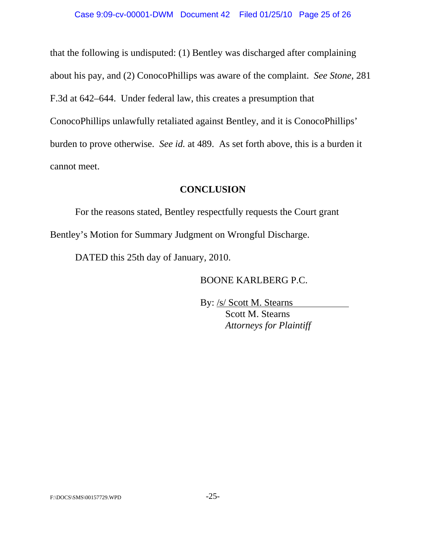that the following is undisputed: (1) Bentley was discharged after complaining about his pay, and (2) ConocoPhillips was aware of the complaint. *See Stone*, 281 F.3d at 642–644. Under federal law, this creates a presumption that ConocoPhillips unlawfully retaliated against Bentley, and it is ConocoPhillips' burden to prove otherwise. *See id.* at 489. As set forth above, this is a burden it cannot meet.

## **CONCLUSION**

For the reasons stated, Bentley respectfully requests the Court grant Bentley's Motion for Summary Judgment on Wrongful Discharge.

DATED this 25th day of January, 2010.

BOONE KARLBERG P.C.

By: /s/ Scott M. Stearns Scott M. Stearns *Attorneys for Plaintiff*